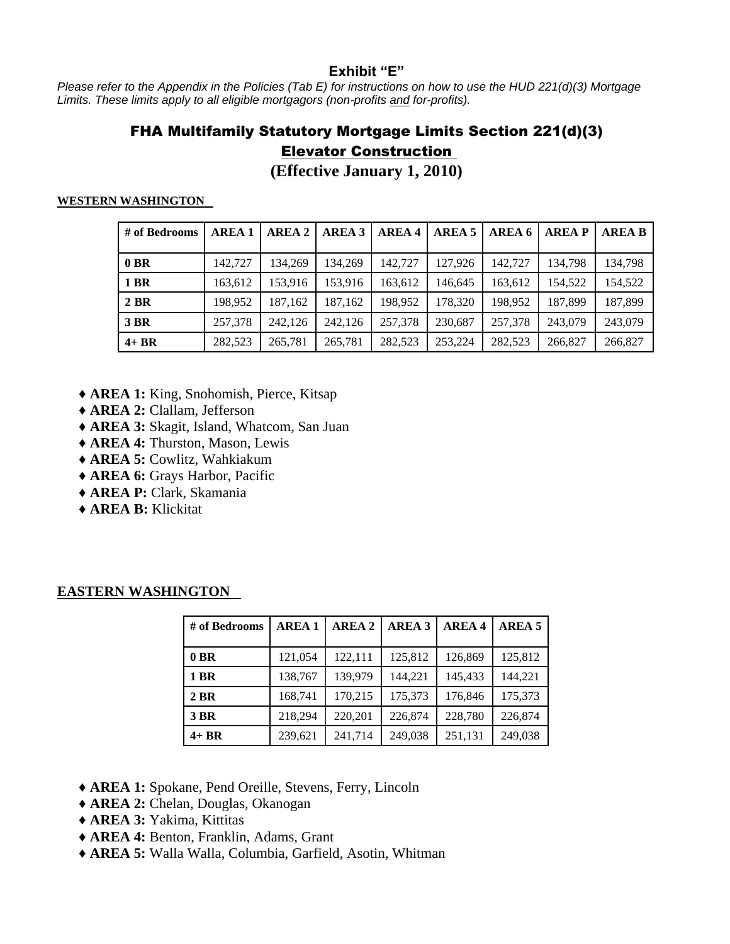## **Exhibit "E"**

*Please refer to the Appendix in the Policies (Tab E) for instructions on how to use the HUD 221(d)(3) Mortgage Limits. These limits apply to all eligible mortgagors (non-profits and for-profits).* 

## FHA Multifamily Statutory Mortgage Limits Section 221(d)(3) Elevator Construction

**(Effective January 1, 2010)**

#### **WESTERN WASHINGTON**

| # of Bedrooms | <b>AREA 1</b> | <b>AREA 2</b> | <b>AREA 3</b> | <b>AREA 4</b> | <b>AREA 5</b> | AREA 6  | <b>AREAP</b> | <b>AREA B</b> |
|---------------|---------------|---------------|---------------|---------------|---------------|---------|--------------|---------------|
| $0$ BR        | 142,727       | 134.269       | 134.269       | 142,727       | 127,926       | 142,727 | 134.798      | 134.798       |
| <b>1 BR</b>   | 163,612       | 153,916       | 153,916       | 163,612       | 146,645       | 163,612 | 154,522      | 154,522       |
| 2 BR          | 198.952       | 187.162       | 187,162       | 198,952       | 178,320       | 198,952 | 187,899      | 187,899       |
| <b>3 BR</b>   | 257,378       | 242,126       | 242,126       | 257,378       | 230,687       | 257,378 | 243,079      | 243,079       |
| $4+BR$        | 282,523       | 265,781       | 265,781       | 282,523       | 253.224       | 282,523 | 266,827      | 266,827       |

- ♦ **AREA 1:** King, Snohomish, Pierce, Kitsap
- ♦ **AREA 2:** Clallam, Jefferson
- ♦ **AREA 3:** Skagit, Island, Whatcom, San Juan
- ♦ **AREA 4:** Thurston, Mason, Lewis
- ♦ **AREA 5:** Cowlitz, Wahkiakum
- ♦ **AREA 6:** Grays Harbor, Pacific
- ♦ **AREA P:** Clark, Skamania
- ♦ **AREA B:** Klickitat

| # of Bedrooms | <b>AREA1</b> | <b>AREA 2</b> | <b>AREA 3</b> | <b>AREA4</b> | AREA <sub>5</sub> |
|---------------|--------------|---------------|---------------|--------------|-------------------|
| $0$ BR        | 121,054      | 122,111       | 125,812       | 126,869      | 125,812           |
| 1 BR          | 138,767      | 139,979       | 144,221       | 145,433      | 144,221           |
| 2 BR          | 168,741      | 170,215       | 175,373       | 176,846      | 175,373           |
| <b>3 BR</b>   | 218,294      | 220,201       | 226,874       | 228,780      | 226,874           |
| $4+BR$        | 239,621      | 241,714       | 249,038       | 251,131      | 249,038           |

### **EASTERN WASHINGTON**

- ♦ **AREA 1:** Spokane, Pend Oreille, Stevens, Ferry, Lincoln
- ♦ **AREA 2:** Chelan, Douglas, Okanogan
- ♦ **AREA 3:** Yakima, Kittitas
- ♦ **AREA 4:** Benton, Franklin, Adams, Grant
- ♦ **AREA 5:** Walla Walla, Columbia, Garfield, Asotin, Whitman